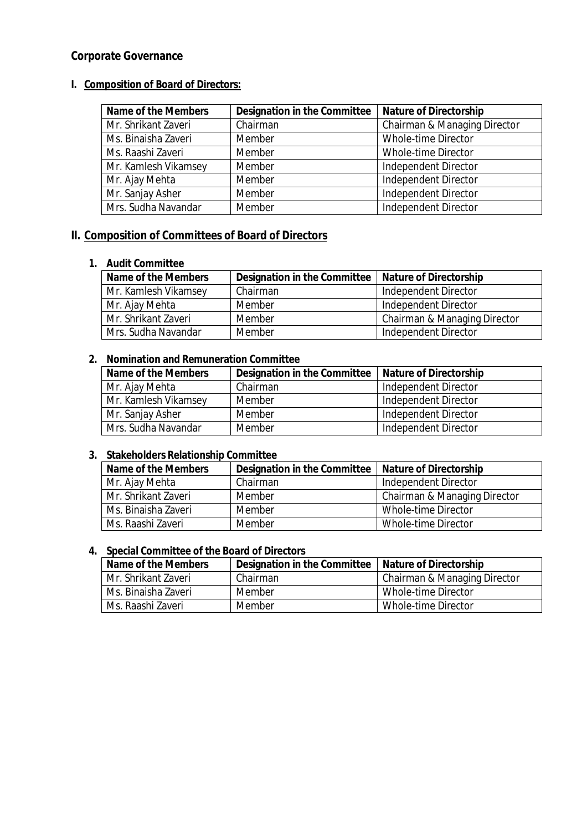# **Corporate Governance**

# **I. Composition of Board of Directors:**

| <b>Name of the Members</b> | <b>Designation in the Committee</b> | <b>Nature of Directorship</b> |
|----------------------------|-------------------------------------|-------------------------------|
| Mr. Shrikant Zaveri        | Chairman                            | Chairman & Managing Director  |
| Ms. Binaisha Zaveri        | Member                              | Whole-time Director           |
| Ms. Raashi Zaveri          | Member                              | Whole-time Director           |
| Mr. Kamlesh Vikamsey       | Member                              | Independent Director          |
| Mr. Ajay Mehta             | Member                              | <b>Independent Director</b>   |
| Mr. Sanjay Asher           | Member                              | <b>Independent Director</b>   |
| Mrs. Sudha Navandar        | Member                              | <b>Independent Director</b>   |

# **II. Composition of Committees of Board of Directors**

#### **1. Audit Committee**

| Name of the Members  | Designation in the Committee   Nature of Directorship |                              |
|----------------------|-------------------------------------------------------|------------------------------|
| Mr. Kamlesh Vikamsey | Chairman                                              | Independent Director         |
| Mr. Ajay Mehta       | Member                                                | Independent Director         |
| Mr. Shrikant Zaveri  | Member                                                | Chairman & Managing Director |
| Mrs. Sudha Navandar  | Member                                                | Independent Director         |

## **2. Nomination and Remuneration Committee**

| Name of the Members  | Designation in the Committee | <b>Nature of Directorship</b> |
|----------------------|------------------------------|-------------------------------|
| Mr. Ajay Mehta       | Chairman                     | Independent Director          |
| Mr. Kamlesh Vikamsey | Member                       | Independent Director          |
| Mr. Sanjay Asher     | Member                       | Independent Director          |
| Mrs. Sudha Navandar  | Member                       | Independent Director          |

#### **3. Stakeholders Relationship Committee**

| <b>Name of the Members</b> | Designation in the Committee   Nature of Directorship |                              |
|----------------------------|-------------------------------------------------------|------------------------------|
| Mr. Ajay Mehta             | Chairman                                              | Independent Director         |
| Mr. Shrikant Zaveri        | Member                                                | Chairman & Managing Director |
| Ms. Binaisha Zaveri        | Member                                                | Whole-time Director          |
| Ms. Raashi Zaveri          | Member                                                | Whole-time Director          |

## **4. Special Committee of the Board of Directors**

| Name of the Members | <b>Designation in the Committee</b> | <b>Nature of Directorship</b> |
|---------------------|-------------------------------------|-------------------------------|
| Mr. Shrikant Zaveri | Chairman                            | Chairman & Managing Director  |
| Ms. Binaisha Zaveri | Member                              | Whole-time Director           |
| Ms. Raashi Zaveri   | Member                              | Whole-time Director           |